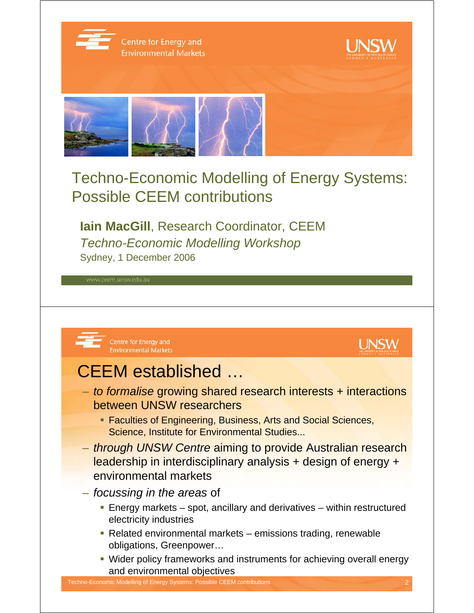

## Techno-Economic Modelling of Energy Systems: Possible CEEM contributions

**Iain MacGill**, Research Coordinator, CEEM *Techno-Economic Modelling Workshop* Sydney, 1 December 2006



- *to formalise* growing shared research interests + interactions between UNSW researchers
	- **Faculties of Engineering, Business, Arts and Social Sciences,** Science, Institute for Environmental Studies...
- *through UNSW Centre* aiming to provide Australian research leadership in interdisciplinary analysis + design of energy + environmental markets
- *focussing in the areas* of
	- Energy markets spot, ancillary and derivatives within restructured electricity industries
	- Related environmental markets emissions trading, renewable obligations, Greenpower…
	- Wider policy frameworks and instruments for achieving overall energy and environmental objectives

**UNSW**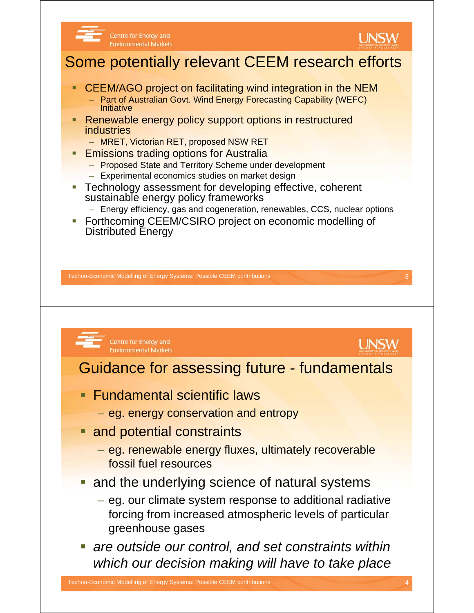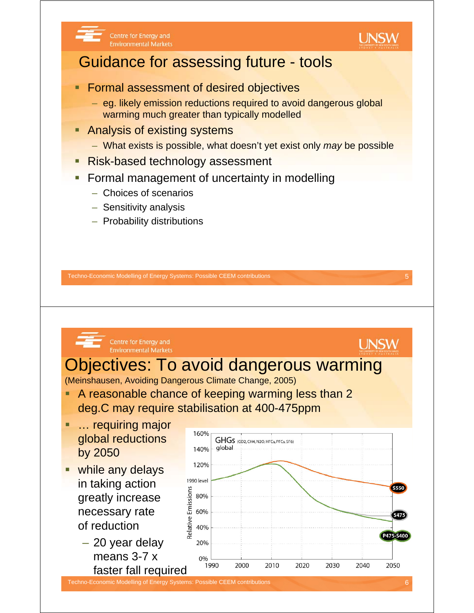



## Guidance for assessing future - tools

- Formal assessment of desired objectives
	- eg. likely emission reductions required to avoid dangerous global warming much greater than typically modelled
- Analysis of existing systems
	- What exists is possible, what doesn't yet exist only *may* be possible
- Risk-based technology assessment
- Formal management of uncertainty in modelling
	- Choices of scenarios
	- Sensitivity analysis
	- Probability distributions

Techno-Economic Modelling of Energy Systems: Possible CEEM contributions 5

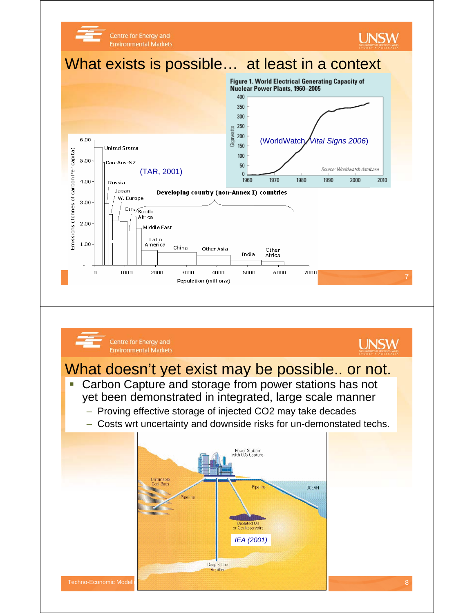





## What doesn't yet exist may be possible.. or not.

- **Carbon Capture and storage from power stations has not** yet been demonstrated in integrated, large scale manner
	- Proving effective storage of injected CO2 may take decades
	- Costs wrt uncertainty and downside risks for un-demonstated techs.

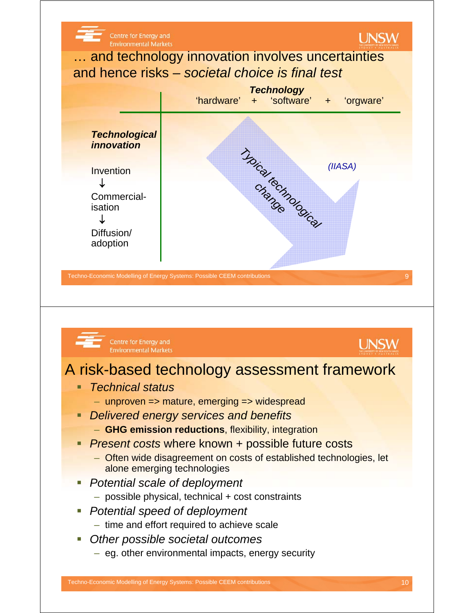

- *Technical status*
	- unproven => mature, emerging => widespread
- *Delivered energy services and benefits*
	- **GHG emission reductions**, flexibility, integration
- **Present costs where known + possible future costs** 
	- Often wide disagreement on costs of established technologies, let alone emerging technologies
- *Potential scale of deployment* 
	- possible physical, technical + cost constraints
- *Potential speed of deployment*
	- time and effort required to achieve scale
- *Other possible societal outcomes*
	- eg. other environmental impacts, energy security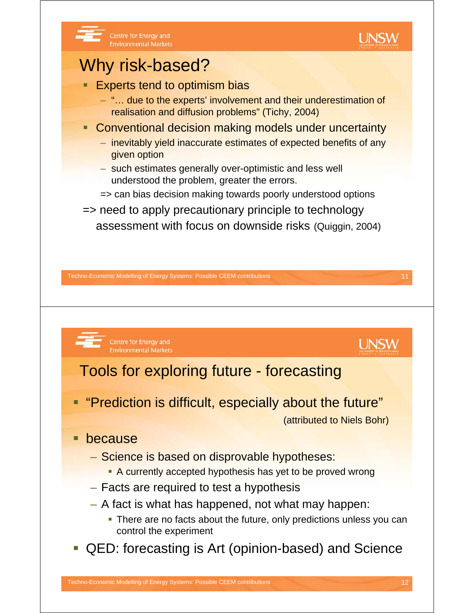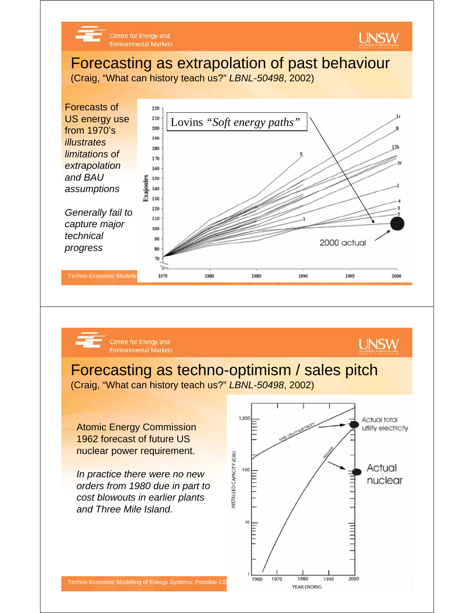